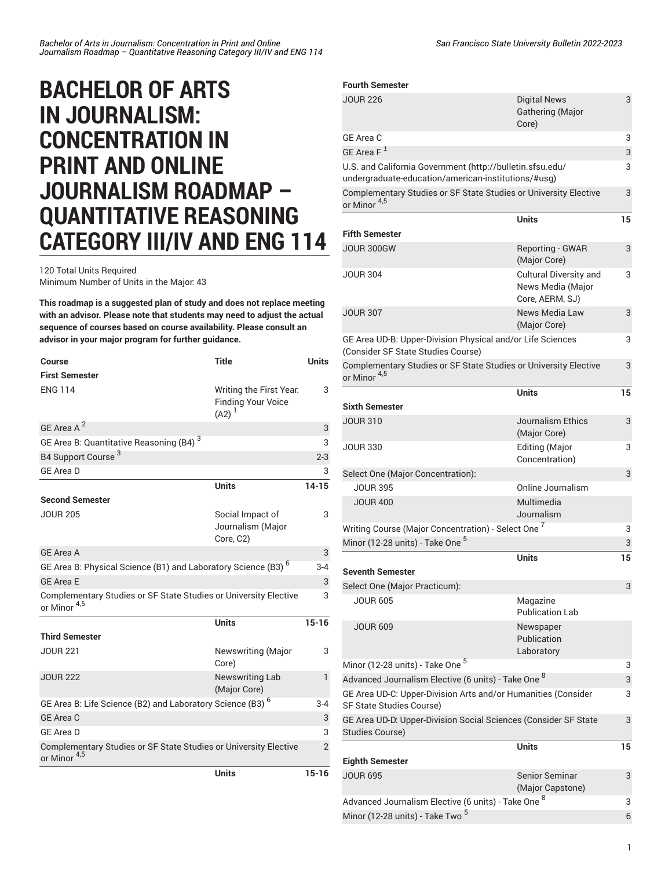# **BACHELOR OF ARTS IN JOURNALISM: CONCENTRATION IN PRINT AND ONLINE JOURNALISM ROADMAP – QUANTITATIVE REASONING CATEGORY III/IV AND ENG 114**

120 Total Units Required Minimum Number of Units in the Major: 43

**This roadmap is a suggested plan of study and does not replace meeting with an advisor. Please note that students may need to adjust the actual sequence of courses based on course availability. Please consult an advisor in your major program for further guidance.**

| Course                                                                                      | <b>Title</b>                                                     | <b>Units</b>   |
|---------------------------------------------------------------------------------------------|------------------------------------------------------------------|----------------|
| <b>First Semester</b>                                                                       |                                                                  |                |
| <b>ENG 114</b>                                                                              | Writing the First Year.<br><b>Finding Your Voice</b><br>$(A2)^1$ | 3              |
| GE Area A <sup>2</sup>                                                                      |                                                                  | 3              |
| GE Area B: Quantitative Reasoning (B4) <sup>3</sup>                                         |                                                                  | 3              |
| B4 Support Course <sup>3</sup>                                                              |                                                                  | $2 - 3$        |
| <b>GE Area D</b>                                                                            |                                                                  | 3              |
|                                                                                             | <b>Units</b>                                                     | $14 - 15$      |
| <b>Second Semester</b>                                                                      |                                                                  |                |
| <b>JOUR 205</b>                                                                             | Social Impact of<br>Journalism (Major<br>Core, C2)               | 3              |
| <b>GE Area A</b>                                                                            |                                                                  | 3              |
| GE Area B: Physical Science (B1) and Laboratory Science (B3) <sup>6</sup>                   |                                                                  | $3 - 4$        |
| <b>GE Area E</b>                                                                            |                                                                  | 3              |
| Complementary Studies or SF State Studies or University Elective<br>or Minor <sup>4,5</sup> |                                                                  | 3              |
|                                                                                             | <b>Units</b>                                                     | $15 - 16$      |
| <b>Third Semester</b>                                                                       |                                                                  |                |
| <b>JOUR 221</b>                                                                             | <b>Newswriting (Major</b><br>Core)                               | 3              |
| <b>JOUR 222</b>                                                                             | <b>Newswriting Lab</b><br>(Major Core)                           | 1              |
| GE Area B: Life Science (B2) and Laboratory Science (B3) <sup>6</sup>                       |                                                                  | $3 - 4$        |
| GE Area C                                                                                   |                                                                  | 3              |
| <b>GE Area D</b>                                                                            |                                                                  | 3              |
| Complementary Studies or SF State Studies or University Elective<br>or Minor <sup>4,5</sup> |                                                                  | $\mathfrak{p}$ |
|                                                                                             | Units                                                            | $15 - 16$      |

### **Fourth Semester**

| <b>JOUR 226</b>                                                                                                  | <b>Digital News</b><br>Gathering (Major<br>Core)               | 3      |
|------------------------------------------------------------------------------------------------------------------|----------------------------------------------------------------|--------|
| GE Area C                                                                                                        |                                                                | 3      |
| GE Area F <sup>±</sup>                                                                                           |                                                                | 3      |
| U.S. and California Government (http://bulletin.sfsu.edu/<br>undergraduate-education/american-institutions/#usg) |                                                                | 3      |
| Complementary Studies or SF State Studies or University Elective<br>or Minor <sup>4,5</sup>                      |                                                                | 3      |
|                                                                                                                  | <b>Units</b>                                                   | 15     |
| <b>Fifth Semester</b>                                                                                            |                                                                |        |
| <b>JOUR 300GW</b>                                                                                                | Reporting - GWAR<br>(Major Core)                               | 3      |
| <b>JOUR 304</b>                                                                                                  | Cultural Diversity and<br>News Media (Major<br>Core, AERM, SJ) | 3      |
| <b>JOUR 307</b>                                                                                                  | News Media Law<br>(Major Core)                                 | 3      |
| GE Area UD-B: Upper-Division Physical and/or Life Sciences<br>(Consider SF State Studies Course)                 |                                                                | 3      |
| Complementary Studies or SF State Studies or University Elective<br>or Minor <sup>4,5</sup>                      |                                                                | 3      |
|                                                                                                                  | <b>Units</b>                                                   | 15     |
| <b>Sixth Semester</b>                                                                                            |                                                                |        |
| <b>JOUR 310</b>                                                                                                  | Journalism Ethics<br>(Major Core)                              | 3      |
| <b>JOUR 330</b>                                                                                                  | <b>Editing (Major</b><br>Concentration)                        | 3      |
| Select One (Major Concentration):                                                                                |                                                                | 3      |
| <b>JOUR 395</b>                                                                                                  | Online Journalism                                              |        |
| <b>JOUR 400</b>                                                                                                  | Multimedia<br>Journalism                                       |        |
| Writing Course (Major Concentration) - Select One <sup>7</sup>                                                   |                                                                | 3      |
| Minor (12-28 units) - Take One <sup>5</sup>                                                                      |                                                                | 3      |
|                                                                                                                  | Units                                                          | 15     |
| <b>Seventh Semester</b>                                                                                          |                                                                |        |
| Select One (Major Practicum):                                                                                    |                                                                | 3      |
| <b>JOUR 605</b>                                                                                                  | Magazine<br><b>Publication Lab</b>                             |        |
| <b>JOUR 609</b>                                                                                                  | Newspaper<br>Publication<br>Laboratory                         |        |
| Minor (12-28 units) - Take One 5                                                                                 |                                                                | 3      |
| Advanced Journalism Elective (6 units) - Take One <sup>8</sup>                                                   |                                                                | 3      |
| GE Area UD-C: Upper-Division Arts and/or Humanities (Consider<br>SF State Studies Course)                        |                                                                | 3      |
| GE Area UD-D: Upper-Division Social Sciences (Consider SF State<br>Studies Course)                               |                                                                | 3      |
|                                                                                                                  | <b>Units</b>                                                   | 15     |
| <b>Eighth Semester</b>                                                                                           |                                                                |        |
| <b>JOUR 695</b>                                                                                                  | Senior Seminar                                                 | 3      |
|                                                                                                                  | (Major Capstone)                                               |        |
| Advanced Journalism Elective (6 units) - Take One <sup>8</sup>                                                   |                                                                |        |
| Minor (12-28 units) - Take Two <sup>5</sup>                                                                      |                                                                | 3<br>6 |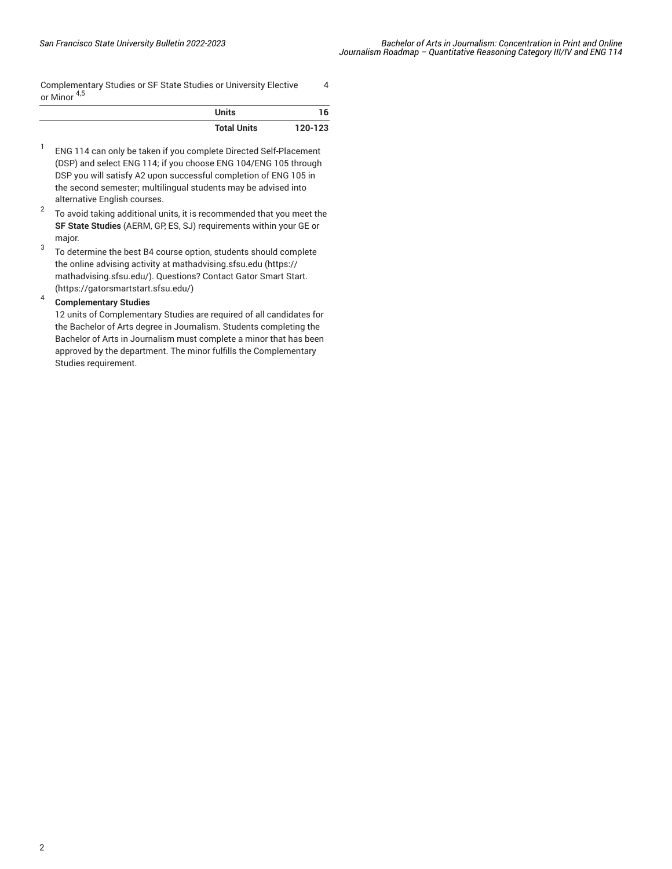[Complementary](/undergraduate-education/sf-state-studies/) Studies or SF State Studies or University Elective [or Minor](/undergraduate-education/sf-state-studies/) 4,5

4

| <b>Units</b>       | 16      |
|--------------------|---------|
| <b>Total Units</b> | 120-123 |

- 1 ENG 114 can only be taken if you complete Directed Self-Placement (DSP) and select ENG 114; if you choose ENG 104/ENG 105 through DSP you will satisfy A2 upon successful completion of ENG 105 in the second semester; multilingual students may be advised into alternative English courses.
- 2 To avoid taking additional units, it is recommended that you meet the **SF State Studies** (AERM, GP, ES, SJ) requirements within your GE or major.
- 3 To determine the best B4 course option, students should complete the online advising activity at [mathadvising.sfsu.edu](https://mathadvising.sfsu.edu/) ([https://](https://mathadvising.sfsu.edu/) [mathadvising.sfsu.edu/\)](https://mathadvising.sfsu.edu/). Questions? Contact Gator [Smart](https://gatorsmartstart.sfsu.edu/) Start. ([https://gatorsmartstart.sfsu.edu/\)](https://gatorsmartstart.sfsu.edu/)

#### 4 **Complementary Studies**

12 units of Complementary Studies are required of all candidates for the Bachelor of Arts degree in Journalism. Students completing the Bachelor of Arts in Journalism must complete a minor that has been approved by the department. The minor fulfills the Complementary Studies requirement.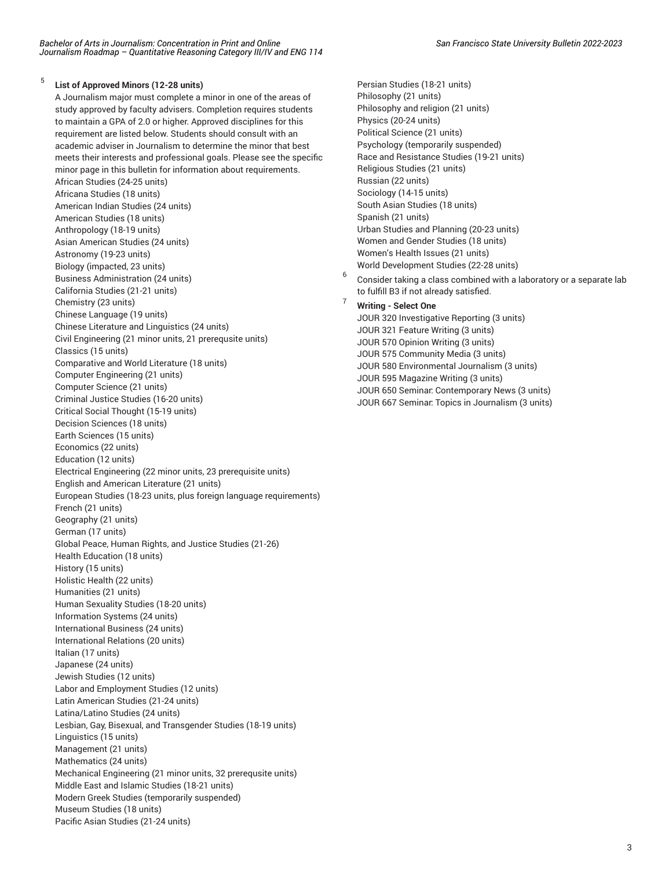#### 5 **List of Approved Minors (12-28 units)**

A Journalism major must complete a minor in one of the areas of study approved by faculty advisers. Completion requires students to maintain a GPA of 2.0 or higher. Approved disciplines for this requirement are listed below. Students should consult with an academic adviser in Journalism to determine the minor that best meets their interests and professional goals. Please see the specific minor page in this bulletin for information about requirements. African Studies (24-25 units) Africana Studies (18 units) American Indian Studies (24 units) American Studies (18 units) Anthropology (18-19 units) Asian American Studies (24 units) Astronomy (19-23 units) Biology (impacted, 23 units) Business Administration (24 units) California Studies (21-21 units) Chemistry (23 units) Chinese Language (19 units) Chinese Literature and Linguistics (24 units) Civil Engineering (21 minor units, 21 prerequsite units) Classics (15 units) Comparative and World Literature (18 units) Computer Engineering (21 units) Computer Science (21 units) Criminal Justice Studies (16-20 units) Critical Social Thought (15-19 units) Decision Sciences (18 units) Earth Sciences (15 units) Economics (22 units) Education (12 units) Electrical Engineering (22 minor units, 23 prerequisite units) English and American Literature (21 units) European Studies (18-23 units, plus foreign language requirements) French (21 units) Geography (21 units) German (17 units) Global Peace, Human Rights, and Justice Studies (21-26) Health Education (18 units) History (15 units) Holistic Health (22 units) Humanities (21 units) Human Sexuality Studies (18-20 units) Information Systems (24 units) International Business (24 units) International Relations (20 units) Italian (17 units) Japanese (24 units) Jewish Studies (12 units) Labor and Employment Studies (12 units) Latin American Studies (21-24 units) Latina/Latino Studies (24 units) Lesbian, Gay, Bisexual, and Transgender Studies (18-19 units) Linguistics (15 units) Management (21 units) Mathematics (24 units) Mechanical Engineering (21 minor units, 32 prerequsite units) Middle East and Islamic Studies (18-21 units) Modern Greek Studies (temporarily suspended) Museum Studies (18 units) Pacific Asian Studies (21-24 units)

Persian Studies (18-21 units) Philosophy (21 units) Philosophy and religion (21 units) Physics (20-24 units) Political Science (21 units) Psychology (temporarily suspended) Race and Resistance Studies (19-21 units) Religious Studies (21 units) Russian (22 units) Sociology (14-15 units) South Asian Studies (18 units) Spanish (21 units) Urban Studies and Planning (20-23 units) Women and Gender Studies (18 units) Women's Health Issues (21 units) World Development Studies (22-28 units)

6 Consider taking a class combined with a laboratory or a separate lab to fulfill B3 if not already satisfied.

## <sup>7</sup> **Writing - Select One**

JOUR 320 Investigative Reporting (3 units) JOUR 321 Feature Writing (3 units) JOUR 570 Opinion Writing (3 units) JOUR 575 Community Media (3 units) JOUR 580 Environmental Journalism (3 units) JOUR 595 Magazine Writing (3 units) JOUR 650 Seminar: Contemporary News (3 units) JOUR 667 Seminar: Topics in Journalism (3 units)